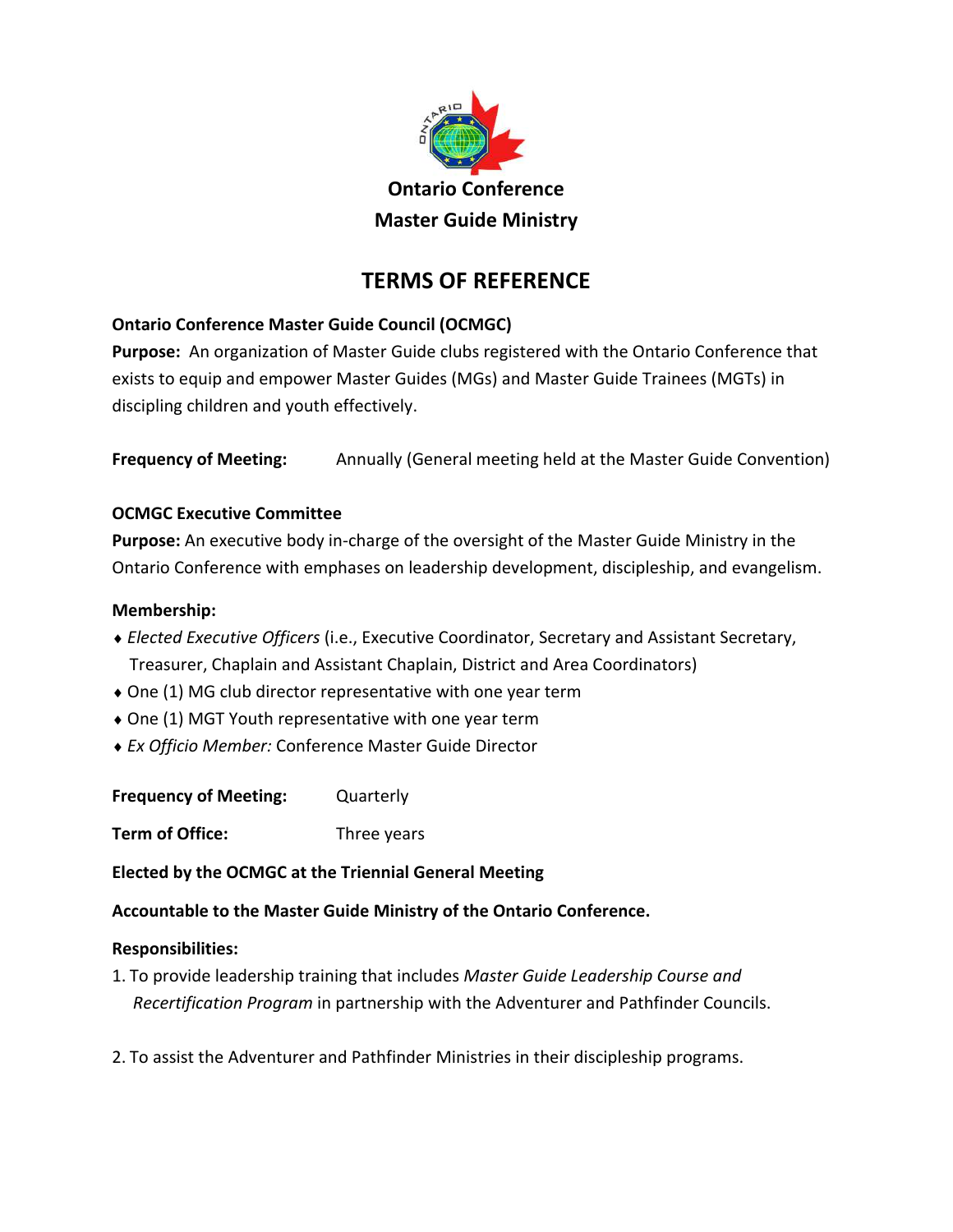

# **TERMS OF REFERENCE**

## **Ontario Conference Master Guide Council (OCMGC)**

**Purpose:** An organization of Master Guide clubs registered with the Ontario Conference that exists to equip and empower Master Guides (MGs) and Master Guide Trainees (MGTs) in discipling children and youth effectively.

**Frequency of Meeting:** Annually (General meeting held at the Master Guide Convention)

## **OCMGC Executive Committee**

**Purpose:** An executive body in-charge of the oversight of the Master Guide Ministry in the Ontario Conference with emphases on leadership development, discipleship, and evangelism.

## **Membership:**

- *Elected Executive Officers* (i.e., Executive Coordinator, Secretary and Assistant Secretary, Treasurer, Chaplain and Assistant Chaplain, District and Area Coordinators)
- One (1) MG club director representative with one year term
- One (1) MGT Youth representative with one year term
- *Ex Officio Member:* Conference Master Guide Director

**Frequency of Meeting:** Quarterly

**Term of Office:** Three years

**Elected by the OCMGC at the Triennial General Meeting**

**Accountable to the Master Guide Ministry of the Ontario Conference.**

### **Responsibilities:**

- 1. To provide leadership training that includes *Master Guide Leadership Course and Recertification Program* in partnership with the Adventurer and Pathfinder Councils.
- 2. To assist the Adventurer and Pathfinder Ministries in their discipleship programs.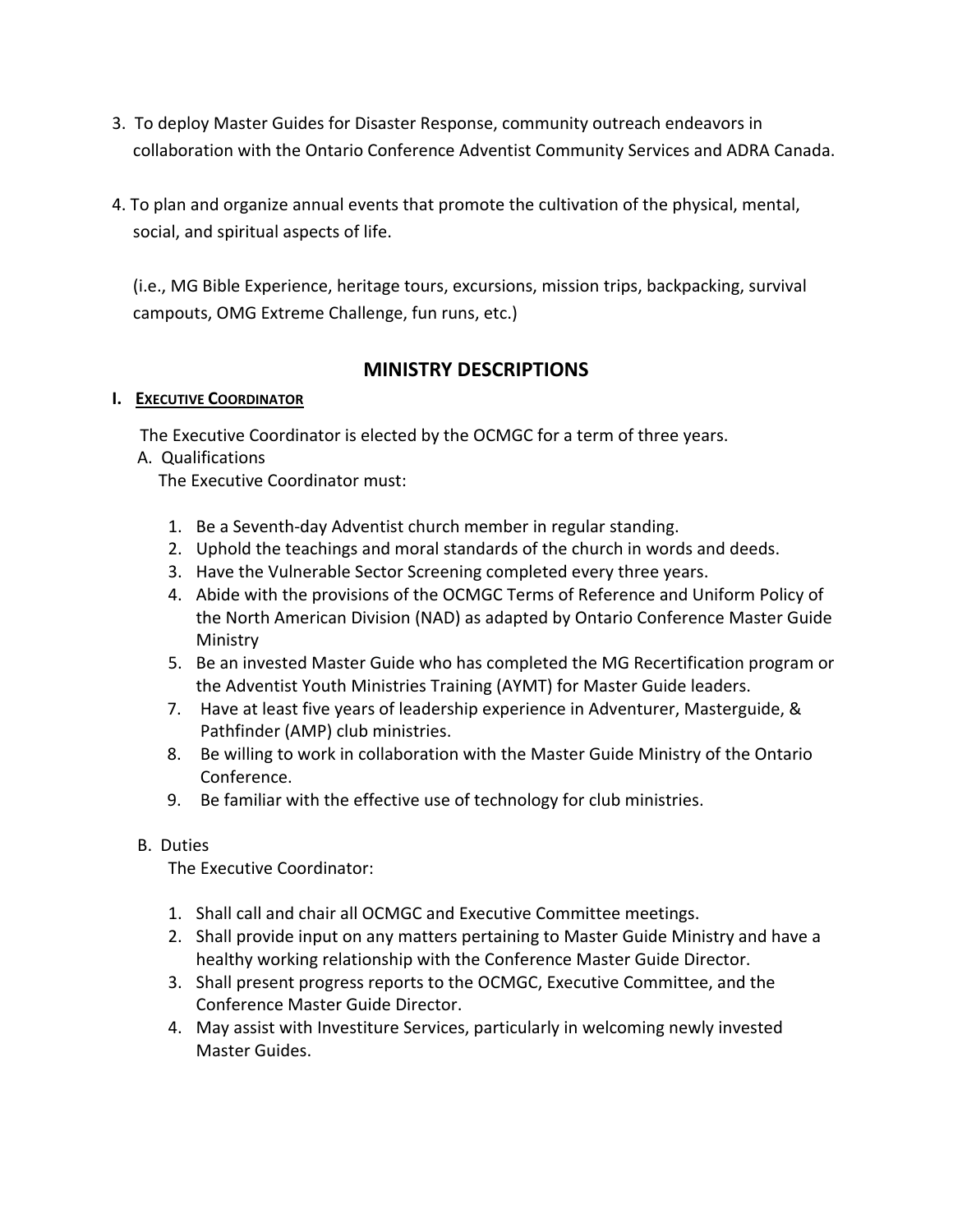- 3. To deploy Master Guides for Disaster Response, community outreach endeavors in collaboration with the Ontario Conference Adventist Community Services and ADRA Canada.
- 4. To plan and organize annual events that promote the cultivation of the physical, mental, social, and spiritual aspects of life.

(i.e., MG Bible Experience, heritage tours, excursions, mission trips, backpacking, survival campouts, OMG Extreme Challenge, fun runs, etc.)

## **MINISTRY DESCRIPTIONS**

### **I. EXECUTIVE COORDINATOR**

The Executive Coordinator is elected by the OCMGC for a term of three years.

### A. Qualifications

The Executive Coordinator must:

- 1. Be a Seventh-day Adventist church member in regular standing.
- 2. Uphold the teachings and moral standards of the church in words and deeds.
- 3. Have the Vulnerable Sector Screening completed every three years.
- 4. Abide with the provisions of the OCMGC Terms of Reference and Uniform Policy of the North American Division (NAD) as adapted by Ontario Conference Master Guide **Ministry**
- 5. Be an invested Master Guide who has completed the MG Recertification program or the Adventist Youth Ministries Training (AYMT) for Master Guide leaders.
- 7. Have at least five years of leadership experience in Adventurer, Masterguide, & Pathfinder (AMP) club ministries.
- 8. Be willing to work in collaboration with the Master Guide Ministry of the Ontario Conference.
- 9. Be familiar with the effective use of technology for club ministries.

### B. Duties

The Executive Coordinator:

- 1. Shall call and chair all OCMGC and Executive Committee meetings.
- 2. Shall provide input on any matters pertaining to Master Guide Ministry and have a healthy working relationship with the Conference Master Guide Director.
- 3. Shall present progress reports to the OCMGC, Executive Committee, and the Conference Master Guide Director.
- 4. May assist with Investiture Services, particularly in welcoming newly invested Master Guides.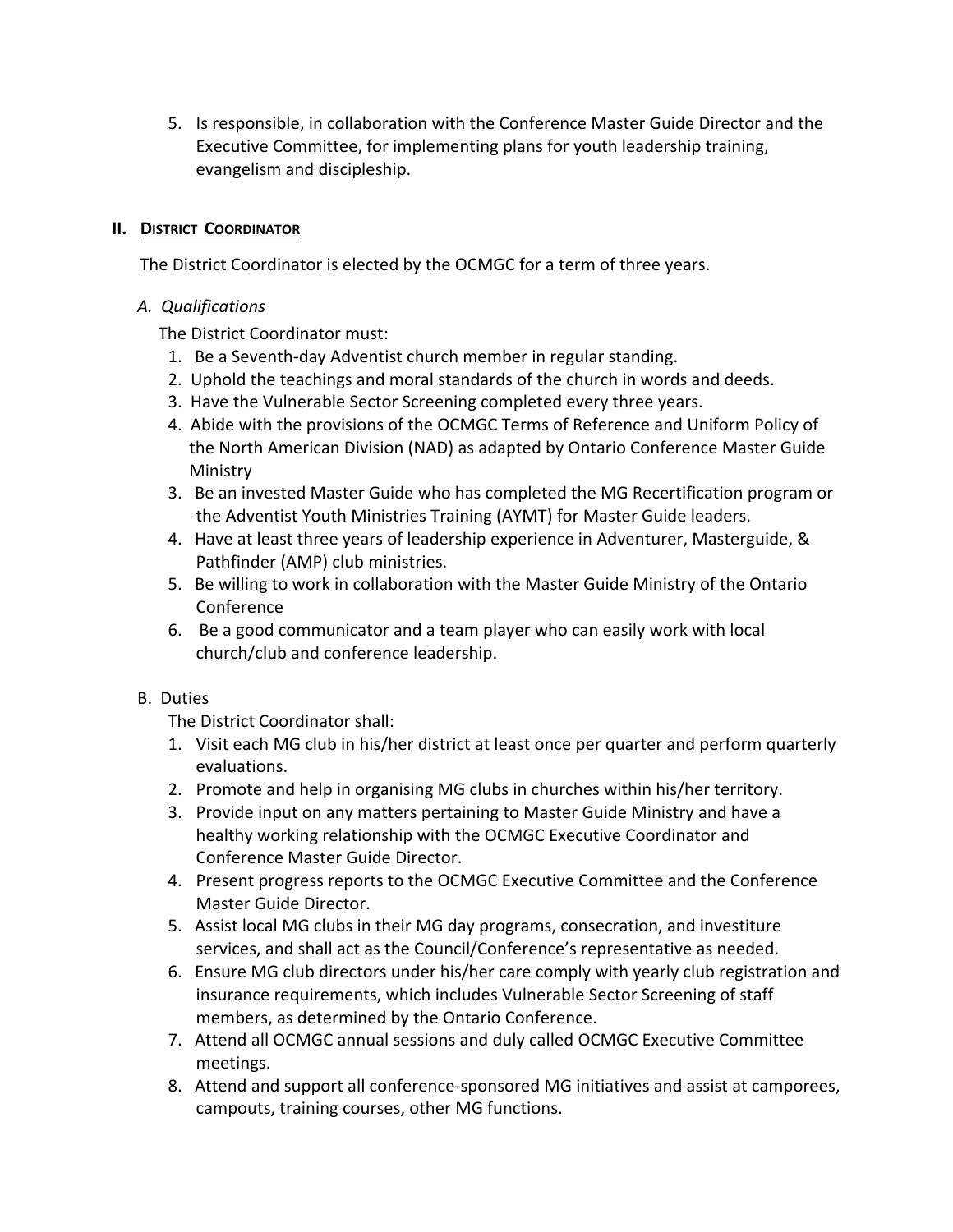5. Is responsible, in collaboration with the Conference Master Guide Director and the Executive Committee, for implementing plans for youth leadership training, evangelism and discipleship.

#### **II. DISTRICT COORDINATOR**

The District Coordinator is elected by the OCMGC for a term of three years.

#### *A. Qualifications*

The District Coordinator must:

- 1. Be a Seventh-day Adventist church member in regular standing.
- 2. Uphold the teachings and moral standards of the church in words and deeds.
- 3. Have the Vulnerable Sector Screening completed every three years.
- 4. Abide with the provisions of the OCMGC Terms of Reference and Uniform Policy of the North American Division (NAD) as adapted by Ontario Conference Master Guide Ministry
- 3. Be an invested Master Guide who has completed the MG Recertification program or the Adventist Youth Ministries Training (AYMT) for Master Guide leaders.
- 4. Have at least three years of leadership experience in Adventurer, Masterguide, & Pathfinder (AMP) club ministries.
- 5. Be willing to work in collaboration with the Master Guide Ministry of the Ontario Conference
- 6. Be a good communicator and a team player who can easily work with local church/club and conference leadership.

### B. Duties

The District Coordinator shall:

- 1. Visit each MG club in his/her district at least once per quarter and perform quarterly evaluations.
- 2. Promote and help in organising MG clubs in churches within his/her territory.
- 3. Provide input on any matters pertaining to Master Guide Ministry and have a healthy working relationship with the OCMGC Executive Coordinator and Conference Master Guide Director.
- 4. Present progress reports to the OCMGC Executive Committee and the Conference Master Guide Director.
- 5. Assist local MG clubs in their MG day programs, consecration, and investiture services, and shall act as the Council/Conference's representative as needed.
- 6. Ensure MG club directors under his/her care comply with yearly club registration and insurance requirements, which includes Vulnerable Sector Screening of staff members, as determined by the Ontario Conference.
- 7. Attend all OCMGC annual sessions and duly called OCMGC Executive Committee meetings.
- 8. Attend and support all conference-sponsored MG initiatives and assist at camporees, campouts, training courses, other MG functions.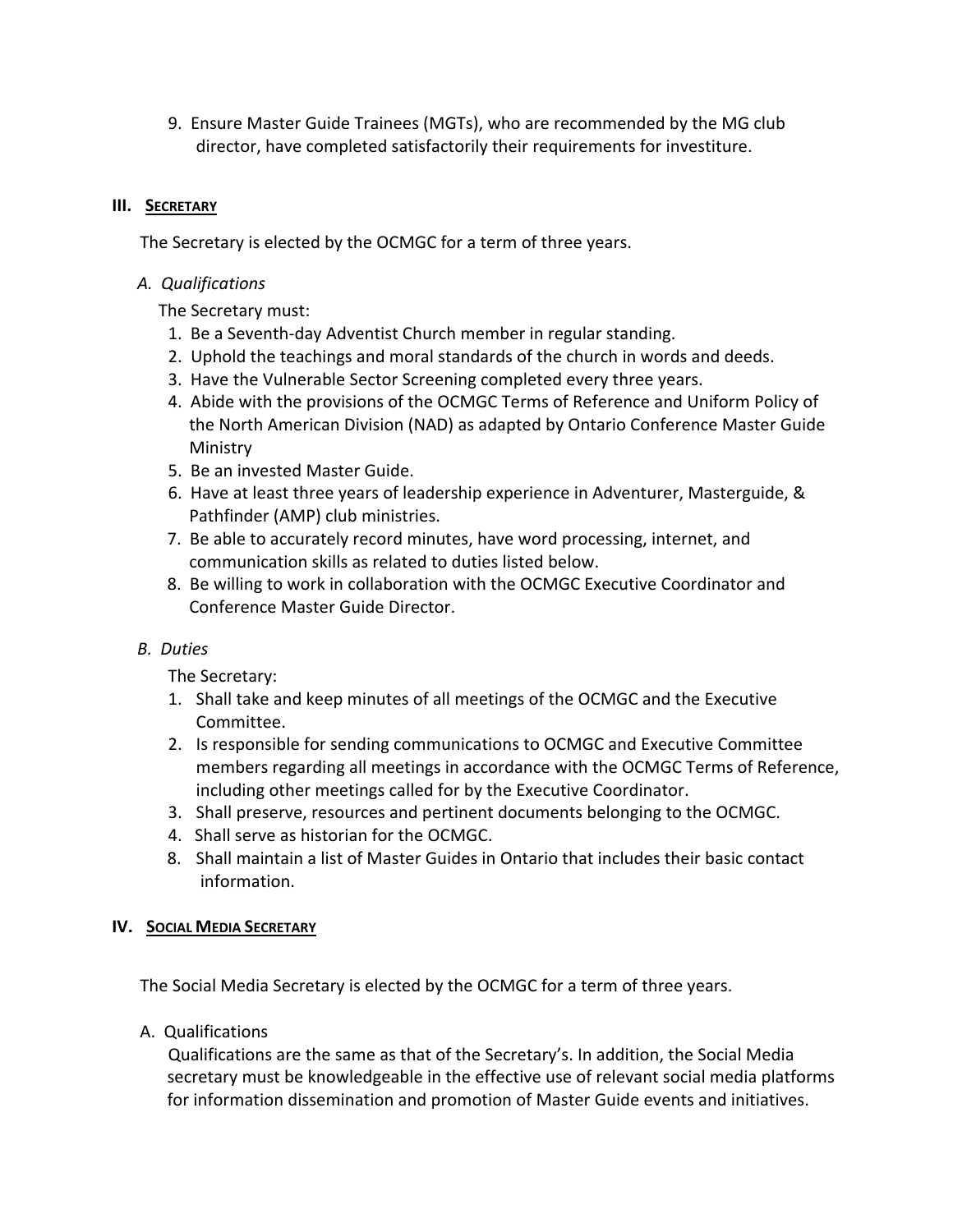9. Ensure Master Guide Trainees (MGTs), who are recommended by the MG club director, have completed satisfactorily their requirements for investiture.

#### **III. SECRETARY**

The Secretary is elected by the OCMGC for a term of three years.

#### *A. Qualifications*

The Secretary must:

- 1. Be a Seventh-day Adventist Church member in regular standing.
- 2. Uphold the teachings and moral standards of the church in words and deeds.
- 3. Have the Vulnerable Sector Screening completed every three years.
- 4. Abide with the provisions of the OCMGC Terms of Reference and Uniform Policy of the North American Division (NAD) as adapted by Ontario Conference Master Guide Ministry
- 5. Be an invested Master Guide.
- 6. Have at least three years of leadership experience in Adventurer, Masterguide, & Pathfinder (AMP) club ministries.
- 7. Be able to accurately record minutes, have word processing, internet, and communication skills as related to duties listed below.
- 8. Be willing to work in collaboration with the OCMGC Executive Coordinator and Conference Master Guide Director.

### *B. Duties*

The Secretary:

- 1. Shall take and keep minutes of all meetings of the OCMGC and the Executive Committee.
- 2. Is responsible for sending communications to OCMGC and Executive Committee members regarding all meetings in accordance with the OCMGC Terms of Reference, including other meetings called for by the Executive Coordinator.
- 3. Shall preserve, resources and pertinent documents belonging to the OCMGC.
- 4. Shall serve as historian for the OCMGC.
- 8. Shall maintain a list of Master Guides in Ontario that includes their basic contact information.

### **IV. SOCIAL MEDIA SECRETARY**

The Social Media Secretary is elected by the OCMGC for a term of three years.

A. Qualifications

Qualifications are the same as that of the Secretary's. In addition, the Social Media secretary must be knowledgeable in the effective use of relevant social media platforms for information dissemination and promotion of Master Guide events and initiatives.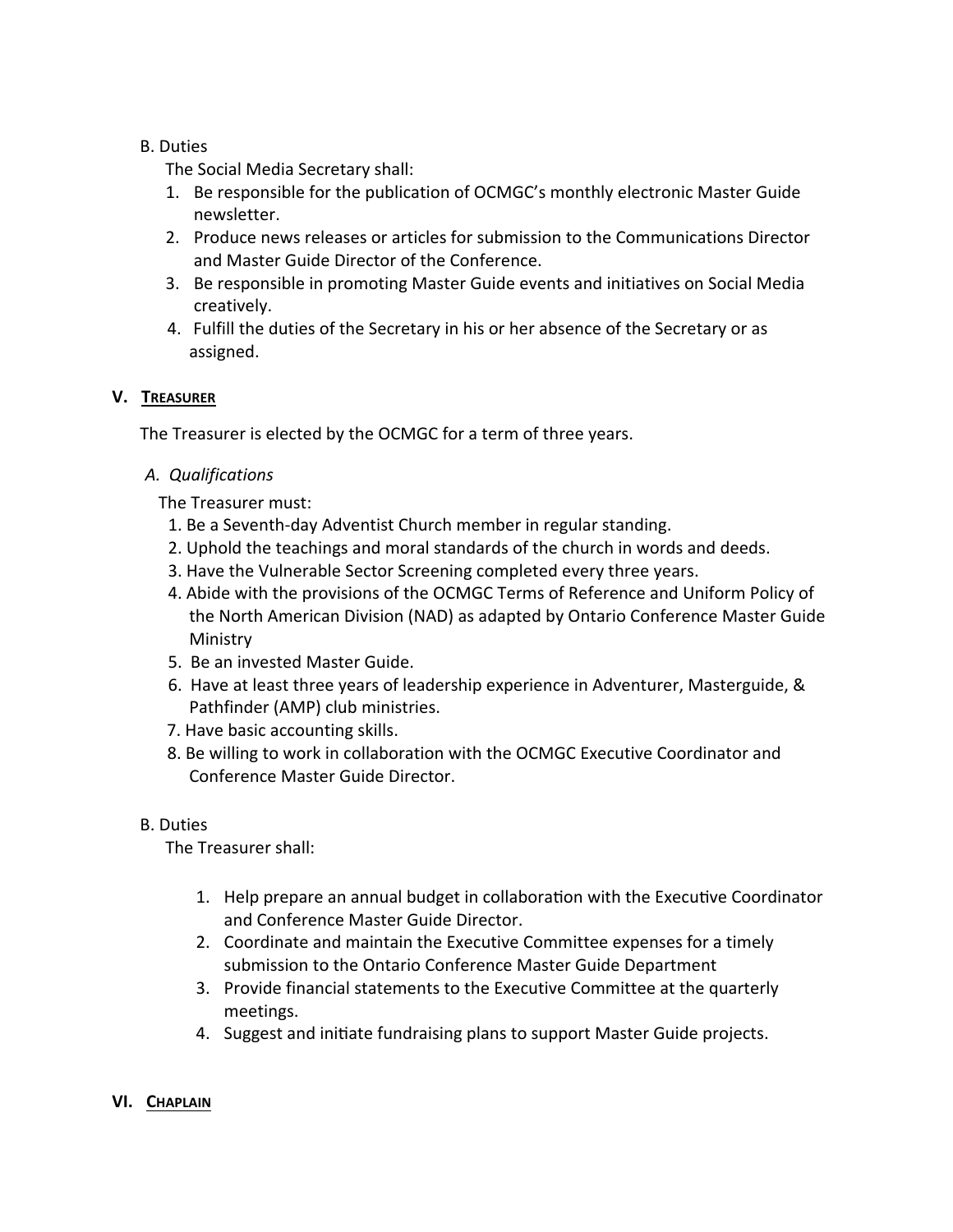#### B. Duties

The Social Media Secretary shall:

- 1. Be responsible for the publication of OCMGC's monthly electronic Master Guide newsletter.
- 2. Produce news releases or articles for submission to the Communications Director and Master Guide Director of the Conference.
- 3. Be responsible in promoting Master Guide events and initiatives on Social Media creatively.
- 4. Fulfill the duties of the Secretary in his or her absence of the Secretary or as assigned.

#### **V. TREASURER**

The Treasurer is elected by the OCMGC for a term of three years.

#### *A. Qualifications*

The Treasurer must:

- 1. Be a Seventh-day Adventist Church member in regular standing.
- 2. Uphold the teachings and moral standards of the church in words and deeds.
- 3. Have the Vulnerable Sector Screening completed every three years.
- 4. Abide with the provisions of the OCMGC Terms of Reference and Uniform Policy of the North American Division (NAD) as adapted by Ontario Conference Master Guide Ministry
- 5. Be an invested Master Guide.
- 6. Have at least three years of leadership experience in Adventurer, Masterguide, & Pathfinder (AMP) club ministries.
- 7. Have basic accounting skills.
- 8. Be willing to work in collaboration with the OCMGC Executive Coordinator and Conference Master Guide Director.

#### B. Duties

The Treasurer shall:

- 1. Help prepare an annual budget in collaboration with the Executive Coordinator and Conference Master Guide Director.
- 2. Coordinate and maintain the Executive Committee expenses for a timely submission to the Ontario Conference Master Guide Department
- 3. Provide financial statements to the Executive Committee at the quarterly meetings.
- 4. Suggest and initiate fundraising plans to support Master Guide projects.
- **VI. CHAPLAIN**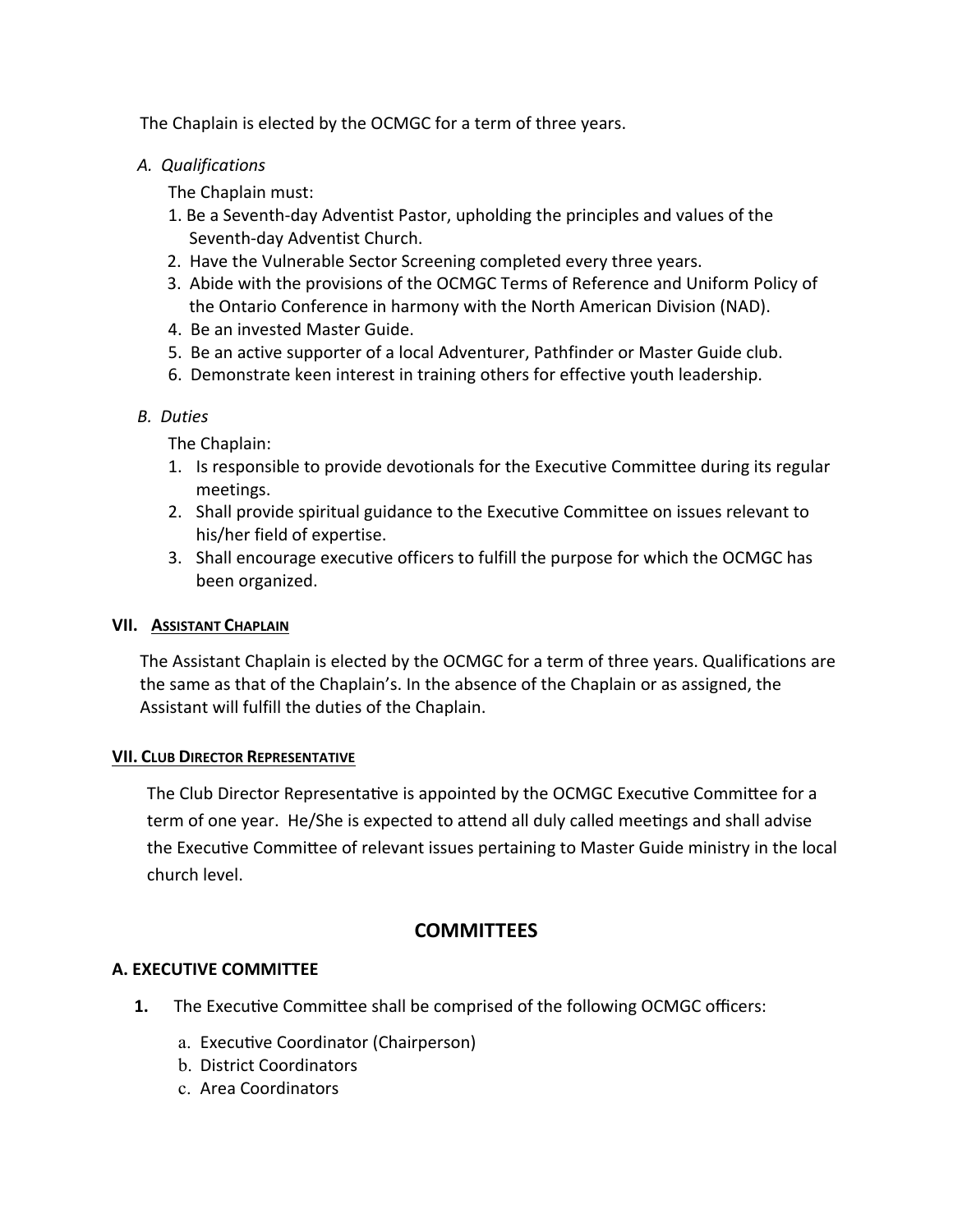The Chaplain is elected by the OCMGC for a term of three years.

 *A. Qualifications* 

The Chaplain must:

- 1. Be a Seventh-day Adventist Pastor, upholding the principles and values of the Seventh-day Adventist Church.
- 2. Have the Vulnerable Sector Screening completed every three years.
- 3. Abide with the provisions of the OCMGC Terms of Reference and Uniform Policy of the Ontario Conference in harmony with the North American Division (NAD).
- 4. Be an invested Master Guide.
- 5. Be an active supporter of a local Adventurer, Pathfinder or Master Guide club.
- 6. Demonstrate keen interest in training others for effective youth leadership.

#### *B. Duties*

The Chaplain:

- 1. Is responsible to provide devotionals for the Executive Committee during its regular meetings.
- 2. Shall provide spiritual guidance to the Executive Committee on issues relevant to his/her field of expertise.
- 3. Shall encourage executive officers to fulfill the purpose for which the OCMGC has been organized.

#### **VII. ASSISTANT CHAPLAIN**

The Assistant Chaplain is elected by the OCMGC for a term of three years. Qualifications are the same as that of the Chaplain's. In the absence of the Chaplain or as assigned, the Assistant will fulfill the duties of the Chaplain.

#### **VII. CLUB DIRECTOR REPRESENTATIVE**

The Club Director Representative is appointed by the OCMGC Executive Committee for a term of one year. He/She is expected to attend all duly called meetings and shall advise the Executive Committee of relevant issues pertaining to Master Guide ministry in the local church level.

## **COMMITTEES**

### **A. EXECUTIVE COMMITTEE**

- **1.** The Executive Committee shall be comprised of the following OCMGC officers:
	- a. Executive Coordinator (Chairperson)
	- b. District Coordinators
	- c. Area Coordinators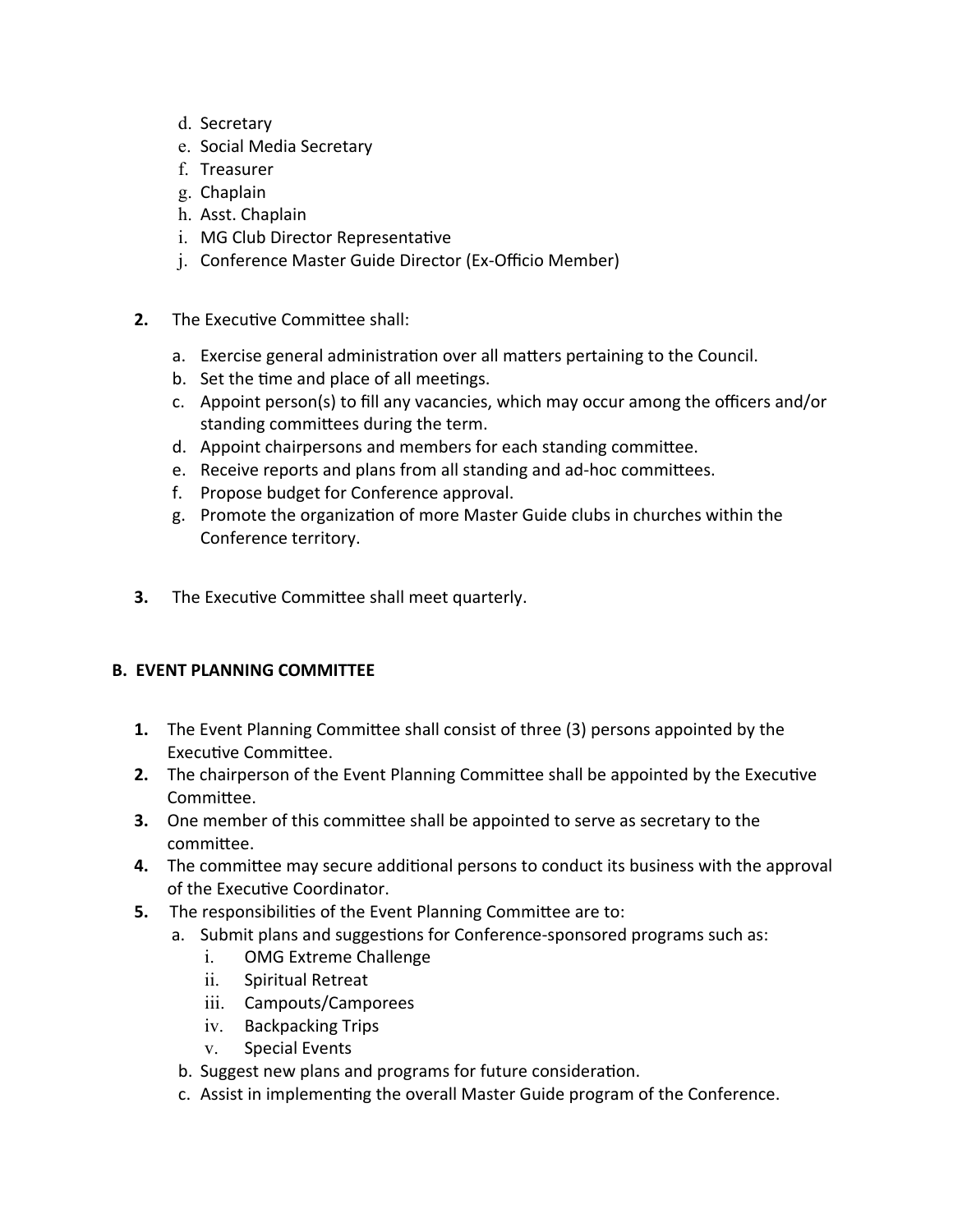- d. Secretary
- e. Social Media Secretary
- f. Treasurer
- g. Chaplain
- h. Asst. Chaplain
- i. MG Club Director Representative
- j. Conference Master Guide Director (Ex-Officio Member)
- **2.** The Executive Committee shall:
	- a. Exercise general administration over all matters pertaining to the Council.
	- b. Set the time and place of all meetings.
	- c. Appoint person(s) to fill any vacancies, which may occur among the officers and/or standing committees during the term.
	- d. Appoint chairpersons and members for each standing committee.
	- e. Receive reports and plans from all standing and ad-hoc committees.
	- f. Propose budget for Conference approval.
	- g. Promote the organization of more Master Guide clubs in churches within the Conference territory.
- **3.** The Executive Committee shall meet quarterly.

## **B. EVENT PLANNING COMMITTEE**

- **1.** The Event Planning Committee shall consist of three (3) persons appointed by the Executive Committee.
- **2.** The chairperson of the Event Planning Committee shall be appointed by the Executive Committee.
- **3.** One member of this committee shall be appointed to serve as secretary to the commiƩee.
- **4.** The committee may secure additional persons to conduct its business with the approval of the Executive Coordinator.
- **5.** The responsibilities of the Event Planning Committee are to:
	- a. Submit plans and suggestions for Conference-sponsored programs such as:
		- i. OMG Extreme Challenge
		- ii. Spiritual Retreat
		- iii. Campouts/Camporees
		- iv. Backpacking Trips
		- v. Special Events
	- b. Suggest new plans and programs for future consideration.
	- c. Assist in implementing the overall Master Guide program of the Conference.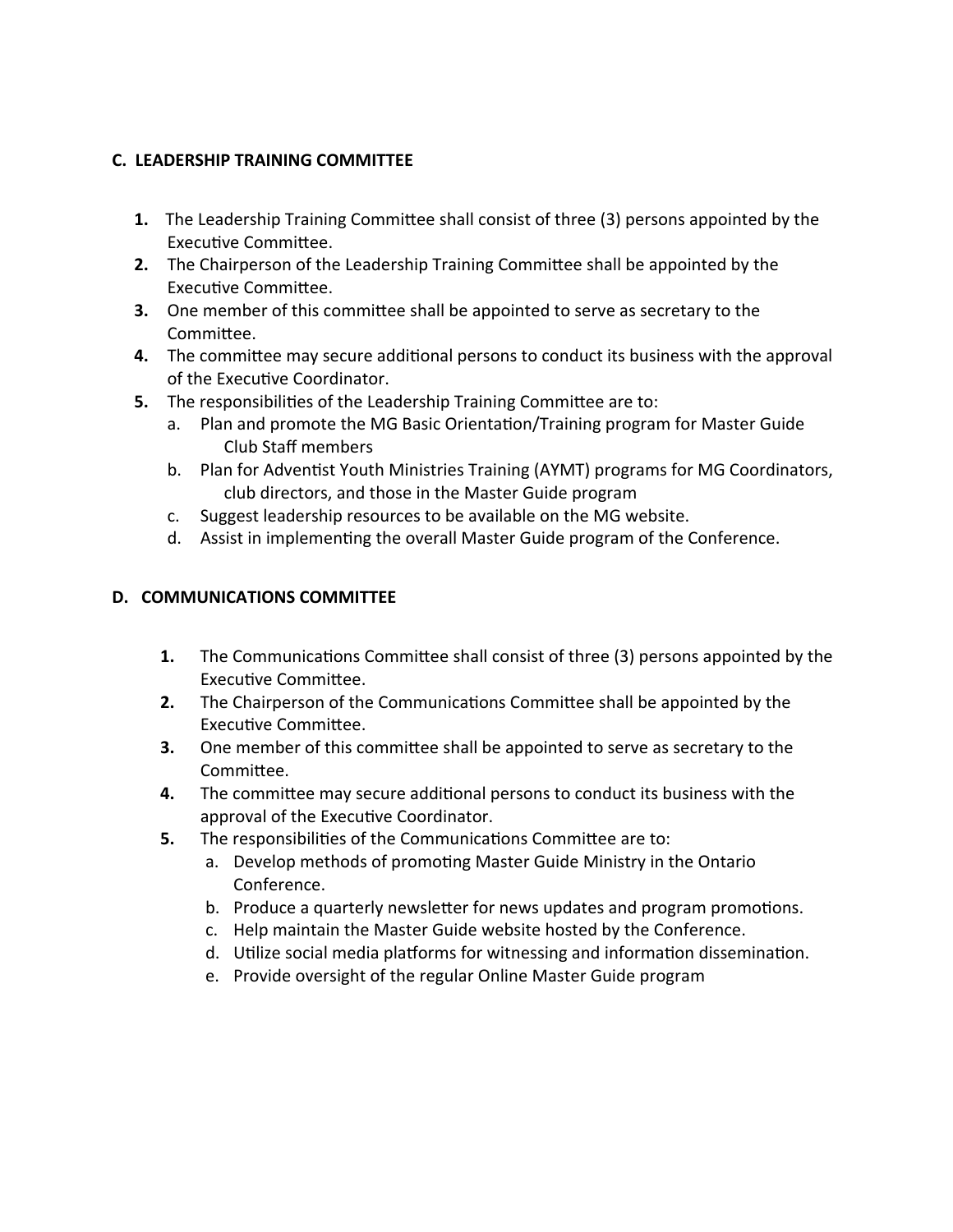## **C. LEADERSHIP TRAINING COMMITTEE**

- **1.** The Leadership Training Committee shall consist of three (3) persons appointed by the Executive Committee.
- **2.** The Chairperson of the Leadership Training Committee shall be appointed by the Executive Committee.
- **3.** One member of this committee shall be appointed to serve as secretary to the Committee.
- **4.** The committee may secure additional persons to conduct its business with the approval of the Executive Coordinator.
- **5.** The responsibilities of the Leadership Training Committee are to:
	- a. Plan and promote the MG Basic Orientation/Training program for Master Guide Club Staff members
	- b. Plan for Adventist Youth Ministries Training (AYMT) programs for MG Coordinators, club directors, and those in the Master Guide program
	- c. Suggest leadership resources to be available on the MG website.
	- d. Assist in implementing the overall Master Guide program of the Conference.

### **D. COMMUNICATIONS COMMITTEE**

- **1.** The Communications Committee shall consist of three (3) persons appointed by the Executive Committee.
- **2.** The Chairperson of the Communications Committee shall be appointed by the ExecuƟve CommiƩee.
- **3.** One member of this committee shall be appointed to serve as secretary to the Committee.
- **4.** The committee may secure additional persons to conduct its business with the approval of the Executive Coordinator.
- **5.** The responsibilities of the Communications Committee are to:
	- a. Develop methods of promoting Master Guide Ministry in the Ontario Conference.
	- b. Produce a quarterly newsletter for news updates and program promotions.
	- c. Help maintain the Master Guide website hosted by the Conference.
	- d. Utilize social media platforms for witnessing and information dissemination.
	- e. Provide oversight of the regular Online Master Guide program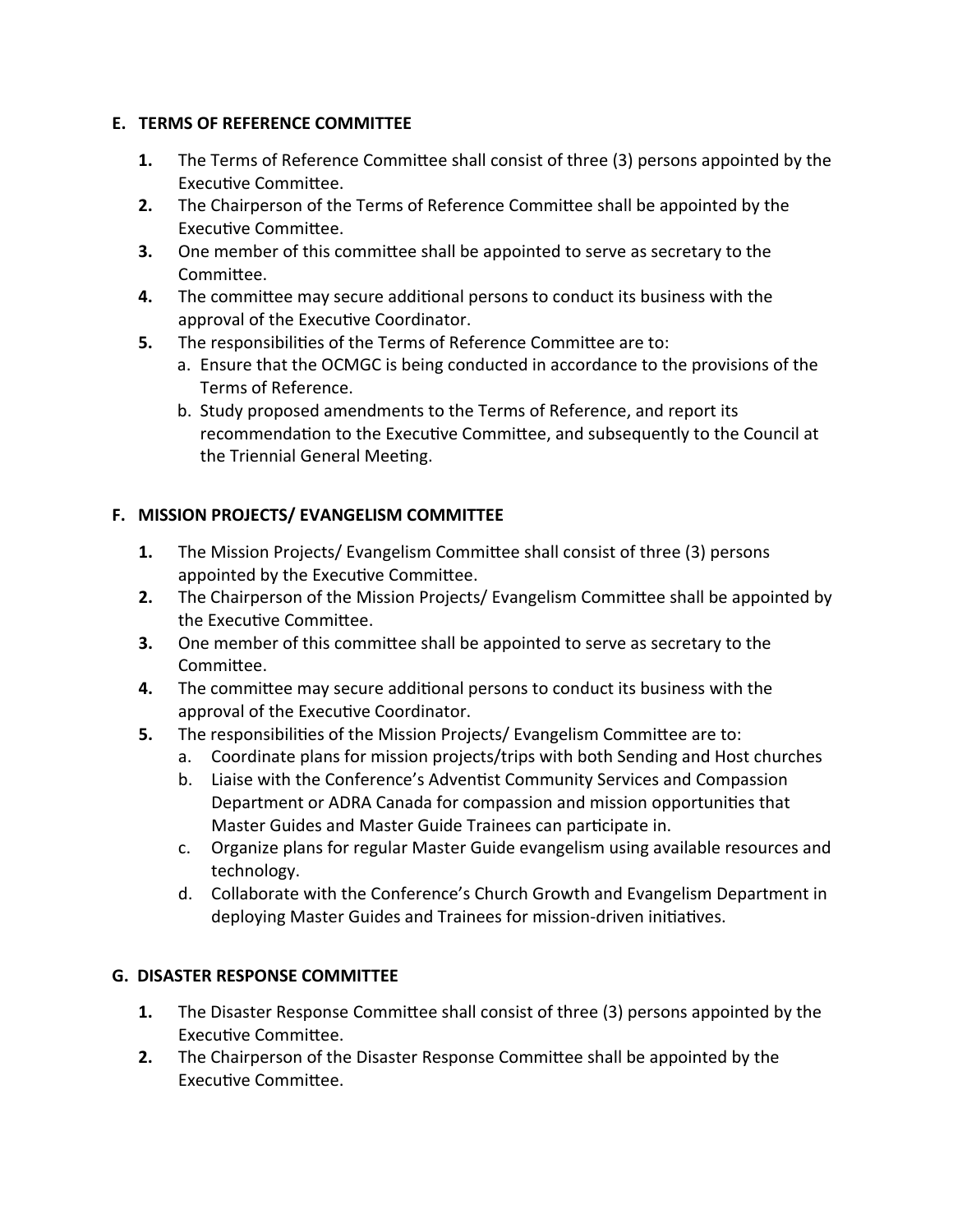### **E. TERMS OF REFERENCE COMMITTEE**

- **1.** The Terms of Reference Committee shall consist of three (3) persons appointed by the ExecuƟve CommiƩee.
- **2.** The Chairperson of the Terms of Reference Committee shall be appointed by the Executive Committee.
- **3.** One member of this committee shall be appointed to serve as secretary to the Committee.
- **4.** The committee may secure additional persons to conduct its business with the approval of the Executive Coordinator.
- **5.** The responsibilities of the Terms of Reference Committee are to:
	- a. Ensure that the OCMGC is being conducted in accordance to the provisions of the Terms of Reference.
	- b. Study proposed amendments to the Terms of Reference, and report its recommendation to the Executive Committee, and subsequently to the Council at the Triennial General Meeting.

## **F. MISSION PROJECTS/ EVANGELISM COMMITTEE**

- **1.** The Mission Projects/ Evangelism Committee shall consist of three (3) persons appointed by the Executive Committee.
- **2.** The Chairperson of the Mission Projects/ Evangelism Committee shall be appointed by the Executive Committee.
- **3.** One member of this committee shall be appointed to serve as secretary to the Committee.
- **4.** The committee may secure additional persons to conduct its business with the approval of the Executive Coordinator.
- **5.** The responsibilities of the Mission Projects/ Evangelism Committee are to:
	- a. Coordinate plans for mission projects/trips with both Sending and Host churches
	- b. Liaise with the Conference's Adventist Community Services and Compassion Department or ADRA Canada for compassion and mission opportunities that Master Guides and Master Guide Trainees can participate in.
	- c. Organize plans for regular Master Guide evangelism using available resources and technology.
	- d. Collaborate with the Conference's Church Growth and Evangelism Department in deploying Master Guides and Trainees for mission-driven initiatives.

## **G. DISASTER RESPONSE COMMITTEE**

- **1.** The Disaster Response Committee shall consist of three (3) persons appointed by the ExecuƟve CommiƩee.
- **2.** The Chairperson of the Disaster Response Committee shall be appointed by the ExecuƟve CommiƩee.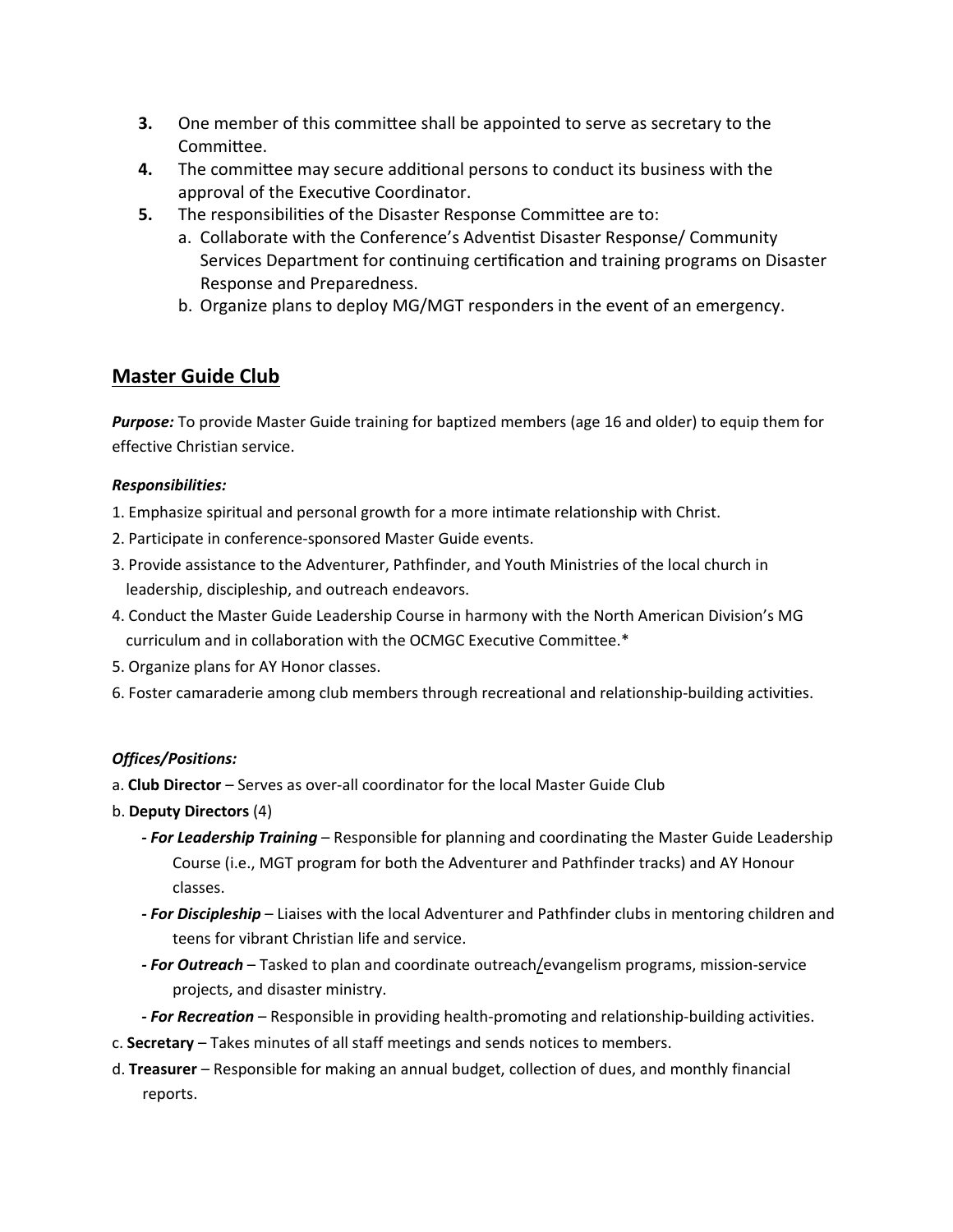- **3.** One member of this committee shall be appointed to serve as secretary to the Committee.
- **4.** The committee may secure additional persons to conduct its business with the approval of the Executive Coordinator.
- **5.** The responsibilities of the Disaster Response Committee are to:
	- a. Collaborate with the Conference's Adventist Disaster Response/ Community Services Department for continuing certification and training programs on Disaster Response and Preparedness.
	- b. Organize plans to deploy MG/MGT responders in the event of an emergency.

## **Master Guide Club**

*Purpose:* To provide Master Guide training for baptized members (age 16 and older) to equip them for effective Christian service.

#### *Responsibilities:*

- 1. Emphasize spiritual and personal growth for a more intimate relationship with Christ.
- 2. Participate in conference-sponsored Master Guide events.
- 3. Provide assistance to the Adventurer, Pathfinder, and Youth Ministries of the local church in leadership, discipleship, and outreach endeavors.
- 4. Conduct the Master Guide Leadership Course in harmony with the North American Division's MG curriculum and in collaboration with the OCMGC Executive Committee.\*
- 5. Organize plans for AY Honor classes.
- 6. Foster camaraderie among club members through recreational and relationship-building activities.

#### *Offices/Positions:*

- a. **Club Director** Serves as over-all coordinator for the local Master Guide Club
- b. **Deputy Directors** (4)
	- *‐ For Leadership Training* Responsible for planning and coordinating the Master Guide Leadership Course (i.e., MGT program for both the Adventurer and Pathfinder tracks) and AY Honour classes.
	- *‐ For Discipleship* Liaises with the local Adventurer and Pathfinder clubs in mentoring children and teens for vibrant Christian life and service.
	- *‐ For Outreach* Tasked to plan and coordinate outreach/evangelism programs, mission-service projects, and disaster ministry.
	- *‐ For Recreation* Responsible in providing health-promoting and relationship-building activities.
- c. **Secretary** Takes minutes of all staff meetings and sends notices to members.
- d. **Treasurer** Responsible for making an annual budget, collection of dues, and monthly financial reports.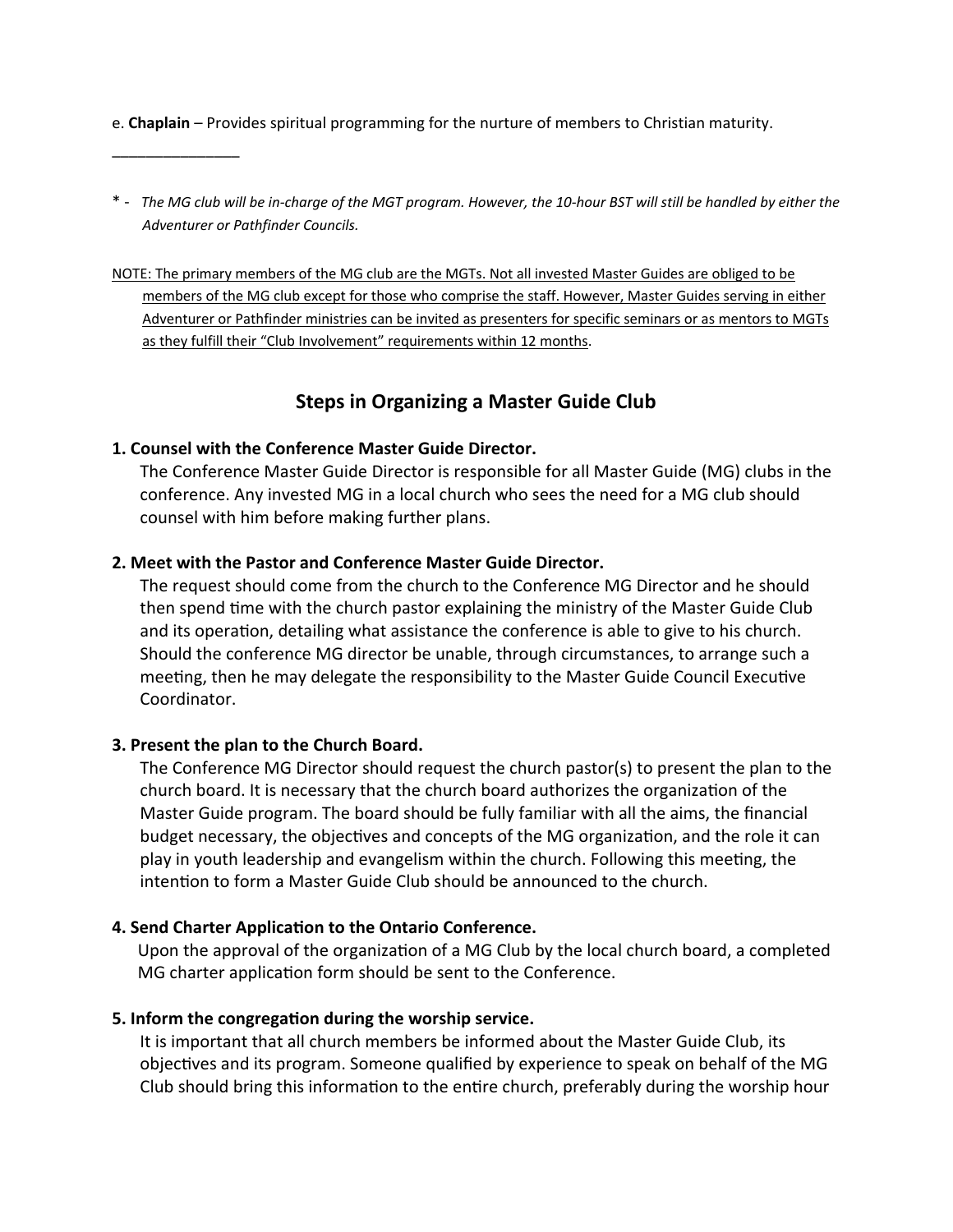- e. **Chaplain** Provides spiritual programming for the nurture of members to Christian maturity.
- $\overline{\phantom{a}}$  , where  $\overline{\phantom{a}}$
- \* *The MG club will be in‐charge of the MGT program. However, the 10‐hour BST will still be handled by either the Adventurer or Pathfinder Councils.*
- NOTE: The primary members of the MG club are the MGTs. Not all invested Master Guides are obliged to be members of the MG club except for those who comprise the staff. However, Master Guides serving in either Adventurer or Pathfinder ministries can be invited as presenters for specific seminars or as mentors to MGTs as they fulfill their "Club Involvement" requirements within 12 months.

## **Steps in Organizing a Master Guide Club**

### **1. Counsel with the Conference Master Guide Director.**

The Conference Master Guide Director is responsible for all Master Guide (MG) clubs in the conference. Any invested MG in a local church who sees the need for a MG club should counsel with him before making further plans.

#### **2. Meet with the Pastor and Conference Master Guide Director.**

The request should come from the church to the Conference MG Director and he should then spend time with the church pastor explaining the ministry of the Master Guide Club and its operation, detailing what assistance the conference is able to give to his church. Should the conference MG director be unable, through circumstances, to arrange such a meeting, then he may delegate the responsibility to the Master Guide Council Executive Coordinator.

#### **3. Present the plan to the Church Board.**

The Conference MG Director should request the church pastor(s) to present the plan to the church board. It is necessary that the church board authorizes the organization of the Master Guide program. The board should be fully familiar with all the aims, the financial budget necessary, the objectives and concepts of the MG organization, and the role it can play in youth leadership and evangelism within the church. Following this meeting, the intention to form a Master Guide Club should be announced to the church.

### **4. Send Charter ApplicaƟon to the Ontario Conference.**

Upon the approval of the organization of a MG Club by the local church board, a completed MG charter application form should be sent to the Conference.

### **5. Inform the congregaƟon during the worship service.**

It is important that all church members be informed about the Master Guide Club, its objectives and its program. Someone qualified by experience to speak on behalf of the MG Club should bring this information to the entire church, preferably during the worship hour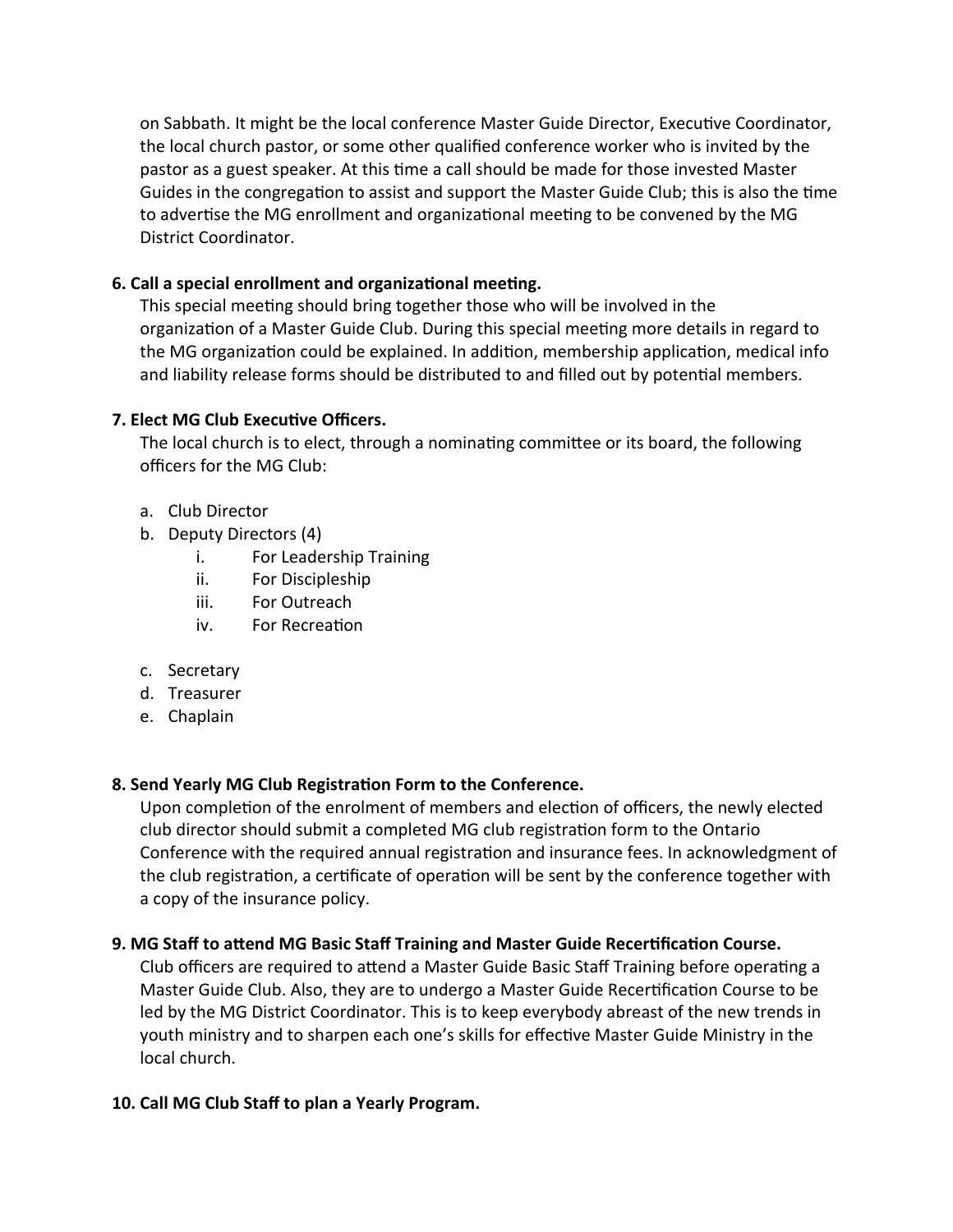on Sabbath. It might be the local conference Master Guide Director, Executive Coordinator, the local church pastor, or some other qualified conference worker who is invited by the pastor as a guest speaker. At this time a call should be made for those invested Master Guides in the congregation to assist and support the Master Guide Club; this is also the time to advertise the MG enrollment and organizational meeting to be convened by the MG District Coordinator.

## **6. Call a special enrollment and organizaƟonal meeƟng.**

This special meeting should bring together those who will be involved in the organization of a Master Guide Club. During this special meeting more details in regard to the MG organization could be explained. In addition, membership application, medical info and liability release forms should be distributed to and filled out by potential members.

## **7. Elect MG Club ExecuƟve Officers.**

The local church is to elect, through a nominating committee or its board, the following officers for the MG Club:

- a. Club Director
- b. Deputy Directors (4)
	- i. For Leadership Training
	- ii. For Discipleship
	- iii. For Outreach
	- iv. For Recreation
- c. Secretary
- d. Treasurer
- e. Chaplain

### **8. Send Yearly MG Club RegistraƟon Form to the Conference.**

Upon completion of the enrolment of members and election of officers, the newly elected club director should submit a completed MG club registration form to the Ontario Conference with the required annual registration and insurance fees. In acknowledgment of the club registration, a certificate of operation will be sent by the conference together with a copy of the insurance policy.

## 9. MG Staff to attend MG Basic Staff Training and Master Guide Recertification Course.

Club officers are required to attend a Master Guide Basic Staff Training before operating a Master Guide Club. Also, they are to undergo a Master Guide Recertification Course to be led by the MG District Coordinator. This is to keep everybody abreast of the new trends in youth ministry and to sharpen each one's skills for effective Master Guide Ministry in the local church.

### **10. Call MG Club Staff to plan a Yearly Program.**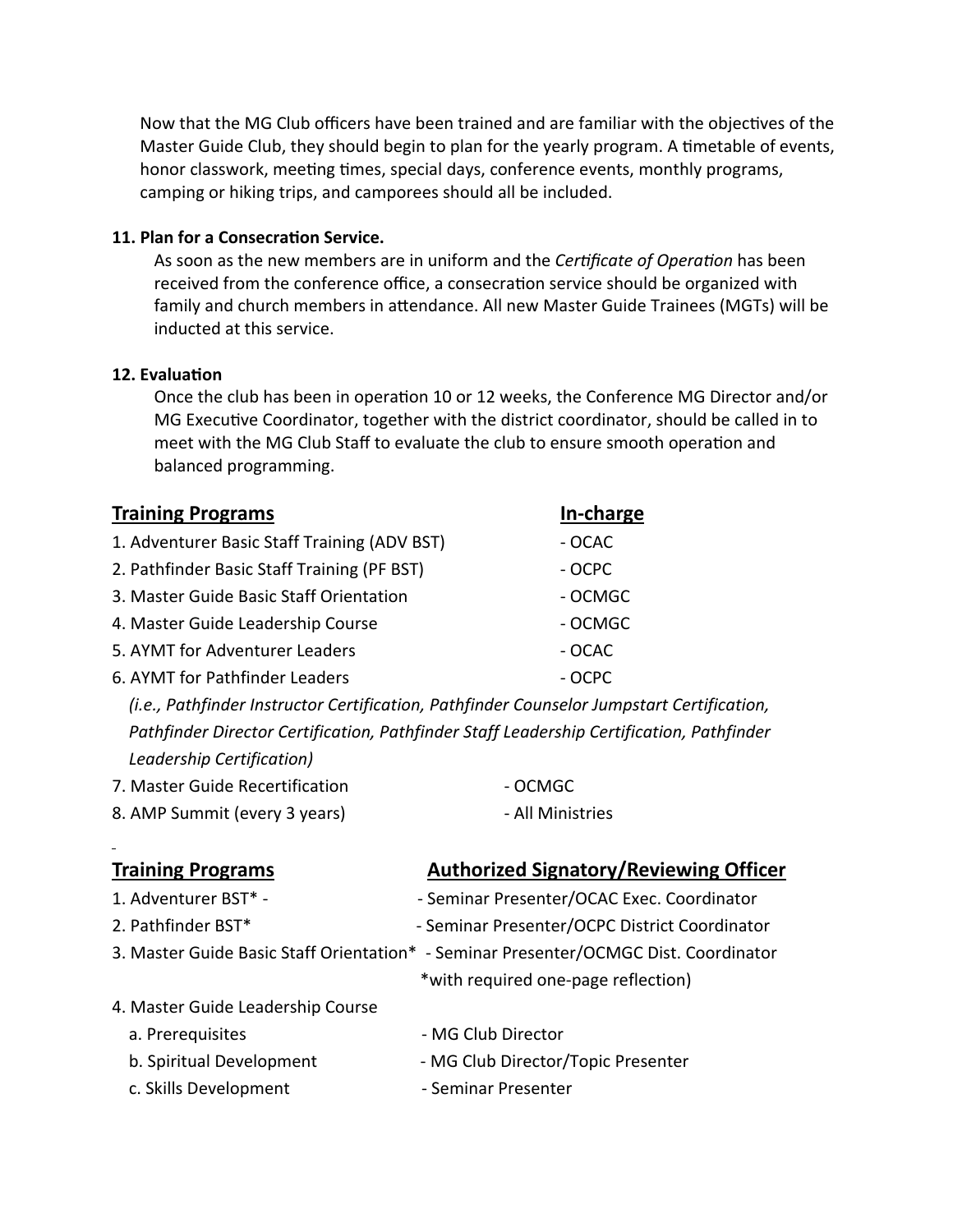Now that the MG Club officers have been trained and are familiar with the objectives of the Master Guide Club, they should begin to plan for the yearly program. A timetable of events, honor classwork, meeting times, special days, conference events, monthly programs, camping or hiking trips, and camporees should all be included.

#### **11. Plan for a ConsecraƟon Service.**

As soon as the new members are in uniform and the *Certificate of Operation* has been received from the conference office, a consecration service should be organized with family and church members in attendance. All new Master Guide Trainees (MGTs) will be inducted at this service.

#### **12. EvaluaƟon**

Once the club has been in operation 10 or 12 weeks, the Conference MG Director and/or MG Executive Coordinator, together with the district coordinator, should be called in to meet with the MG Club Staff to evaluate the club to ensure smooth operation and balanced programming.

| <b>Training Programs</b>                     | <u>In-charge</u>                                                                          |
|----------------------------------------------|-------------------------------------------------------------------------------------------|
| 1. Adventurer Basic Staff Training (ADV BST) | $-OCAC$                                                                                   |
| 2. Pathfinder Basic Staff Training (PF BST)  | - OCPC                                                                                    |
| 3. Master Guide Basic Staff Orientation      | - OCMGC                                                                                   |
| 4. Master Guide Leadership Course            | - OCMGC                                                                                   |
| 5. AYMT for Adventurer Leaders               | $-OCAC$                                                                                   |
| 6. AYMT for Pathfinder Leaders               | - OCPC                                                                                    |
|                                              | (i.e., Pathfinder Instructor Certification, Pathfinder Counselor Jumpstart Certification, |
|                                              | Pathfinder Director Certification, Pathfinder Staff Leadership Certification, Pathfinder  |
| Leadership Certification)                    |                                                                                           |
| 7. Master Guide Recertification              | - OCMGC                                                                                   |
| 8. AMP Summit (every 3 years)                | - All Ministries                                                                          |
|                                              |                                                                                           |
| <b>Training Programs</b>                     | <b>Authorized Signatory/Reviewing Officer</b>                                             |
| 1. Adventurer BST* -                         | - Seminar Presenter/OCAC Exec. Coordinator                                                |
| 2. Pathfinder BST*                           | - Seminar Presenter/OCPC District Coordinator                                             |
|                                              | 3. Master Guide Basic Staff Orientation* - Seminar Presenter/OCMGC Dist. Coordinator      |
|                                              | *with required one-page reflection)                                                       |
| 4. Master Guide Leadership Course            |                                                                                           |
| a. Prerequisites                             | - MG Club Director                                                                        |
| b. Spiritual Development                     | - MG Club Director/Topic Presenter                                                        |
| c. Skills Development                        | - Seminar Presenter                                                                       |
|                                              |                                                                                           |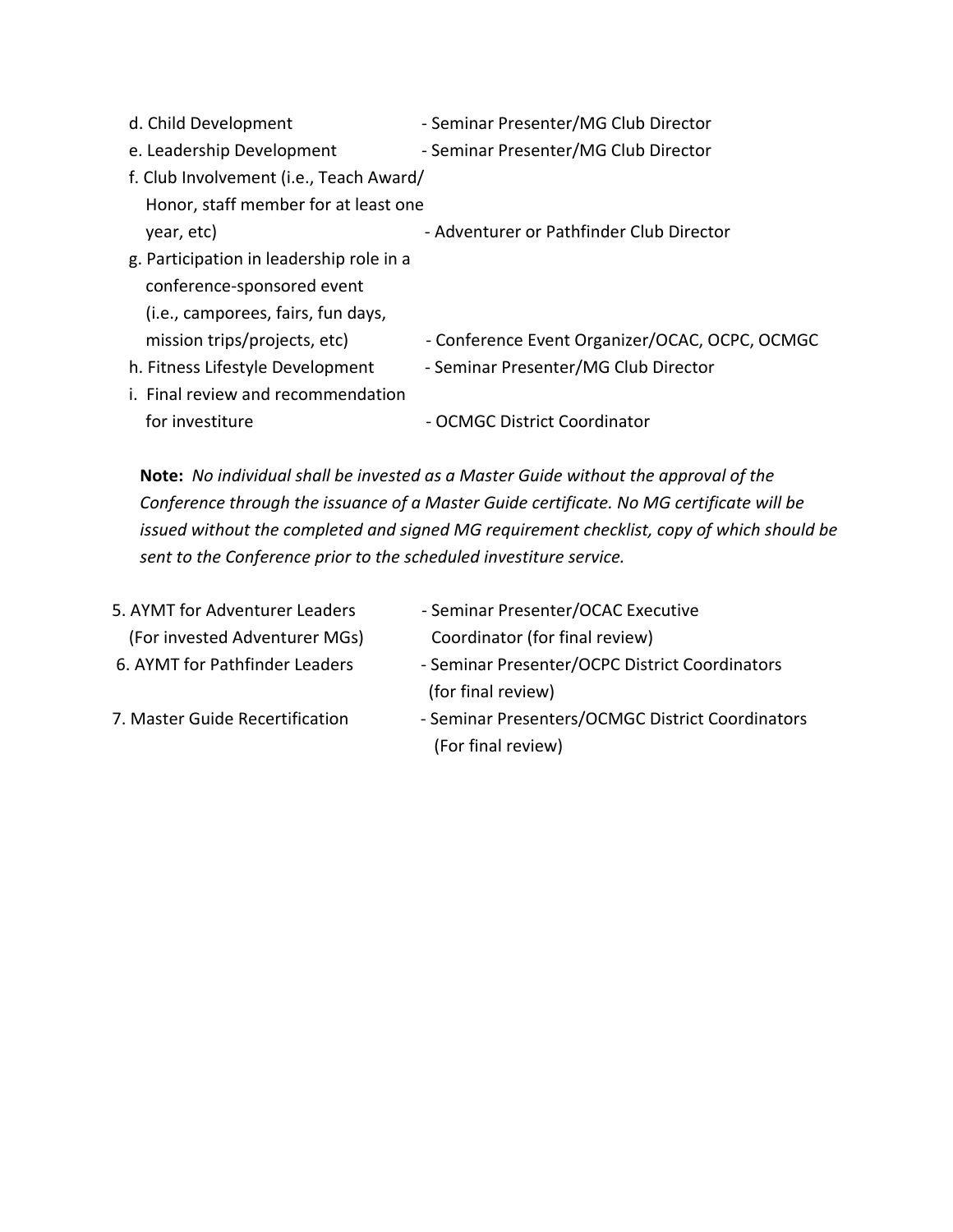| d. Child Development                     | - Seminar Presenter/MG Club Director           |
|------------------------------------------|------------------------------------------------|
| e. Leadership Development                | - Seminar Presenter/MG Club Director           |
| f. Club Involvement (i.e., Teach Award/  |                                                |
| Honor, staff member for at least one     |                                                |
| year, etc)                               | - Adventurer or Pathfinder Club Director       |
| g. Participation in leadership role in a |                                                |
| conference-sponsored event               |                                                |
| (i.e., camporees, fairs, fun days,       |                                                |
| mission trips/projects, etc)             | - Conference Event Organizer/OCAC, OCPC, OCMGC |
| h. Fitness Lifestyle Development         | - Seminar Presenter/MG Club Director           |
| i. Final review and recommendation       |                                                |
| for investiture                          | - OCMGC District Coordinator                   |
|                                          |                                                |

**Note:** *No individual shall be invested as a Master Guide without the approval of the Conference through the issuance of a Master Guide certificate. No MG certificate will be issued without the completed and signed MG requirement checklist, copy of which should be sent to the Conference prior to the scheduled investiture service.*

| - Seminar Presenter/OCAC Executive               |
|--------------------------------------------------|
| Coordinator (for final review)                   |
| - Seminar Presenter/OCPC District Coordinators   |
| (for final review)                               |
| - Seminar Presenters/OCMGC District Coordinators |
| (For final review)                               |
|                                                  |